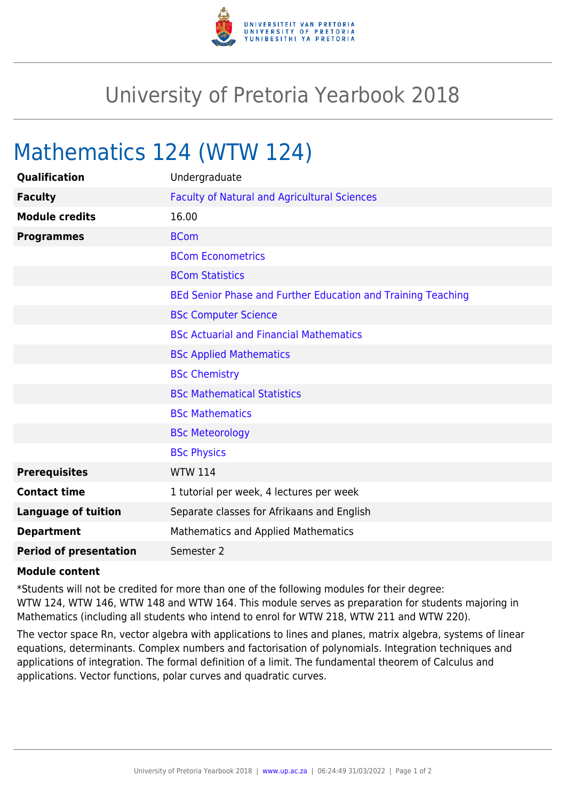

## University of Pretoria Yearbook 2018

## Mathematics 124 (WTW 124)

| Qualification                 | Undergraduate                                                |
|-------------------------------|--------------------------------------------------------------|
| <b>Faculty</b>                | <b>Faculty of Natural and Agricultural Sciences</b>          |
| <b>Module credits</b>         | 16.00                                                        |
| <b>Programmes</b>             | <b>BCom</b>                                                  |
|                               | <b>BCom Econometrics</b>                                     |
|                               | <b>BCom Statistics</b>                                       |
|                               | BEd Senior Phase and Further Education and Training Teaching |
|                               | <b>BSc Computer Science</b>                                  |
|                               | <b>BSc Actuarial and Financial Mathematics</b>               |
|                               | <b>BSc Applied Mathematics</b>                               |
|                               | <b>BSc Chemistry</b>                                         |
|                               | <b>BSc Mathematical Statistics</b>                           |
|                               | <b>BSc Mathematics</b>                                       |
|                               | <b>BSc Meteorology</b>                                       |
|                               | <b>BSc Physics</b>                                           |
| <b>Prerequisites</b>          | <b>WTW 114</b>                                               |
| <b>Contact time</b>           | 1 tutorial per week, 4 lectures per week                     |
| <b>Language of tuition</b>    | Separate classes for Afrikaans and English                   |
| <b>Department</b>             | <b>Mathematics and Applied Mathematics</b>                   |
| <b>Period of presentation</b> | Semester 2                                                   |

## **Module content**

\*Students will not be credited for more than one of the following modules for their degree: WTW 124, WTW 146, WTW 148 and WTW 164. This module serves as preparation for students majoring in Mathematics (including all students who intend to enrol for WTW 218, WTW 211 and WTW 220).

The vector space Rn, vector algebra with applications to lines and planes, matrix algebra, systems of linear equations, determinants. Complex numbers and factorisation of polynomials. Integration techniques and applications of integration. The formal definition of a limit. The fundamental theorem of Calculus and applications. Vector functions, polar curves and quadratic curves.